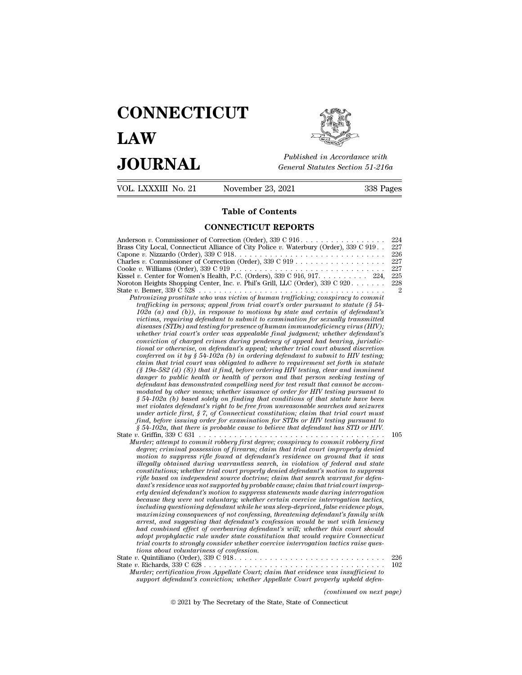# **CONNECTICUT LAW PUBLICE CONNECTICUT**<br> **Published in Accordance with**<br> **JOURNAL** *General Statutes Section 51-216a*<br> **Published in Accordance with**  $\begin{array}{cc}\n\textbf{LAW} & \overbrace{\overbrace{\overbrace{\overline{\textbf{E}}\textbf{W}}\textbf{W}}^{public}} \\
\textbf{JOL RNAL} & \textit{Published in According to the General Statistics Section 51-216a} \\
\hline\n\text{VOL. LXXXIII No. 21} & \text{November 23, 2021} & \text{338 Pages}\n\end{array}$



| <b>JOURNAL</b>      | Published in Accordance with<br>General Statutes Section 51-216 |        |  |
|---------------------|-----------------------------------------------------------------|--------|--|
| VOL. LXXXIII No. 21 | November 23, 2021                                               | 338 Pa |  |
|                     | <b>Table of Contents</b>                                        |        |  |
|                     | <b>CONNECTICUT REPORTS</b>                                      |        |  |

| JUUKNAL                                  |                                                                                                                                                                                                                                                                                                                                                                                                                                                                                                                                                                                                                                                                                                                                                                                                                                                                                                                                                                                                                                                                                                                                                                                                                                                                                                                                                                                                                                                                                                                                                                                                                                                                                                                                                                                                                                                                                                                                                                                                                                                                                                                                                                                                                                                                                                                                                                                                                                                                                                                                                                                                                                                                                                                                                                                                                                                                                                                                                                                                                                                                                                                                                                                                                                                                                    | General Statutes Section 51-216a                                       |  |
|------------------------------------------|------------------------------------------------------------------------------------------------------------------------------------------------------------------------------------------------------------------------------------------------------------------------------------------------------------------------------------------------------------------------------------------------------------------------------------------------------------------------------------------------------------------------------------------------------------------------------------------------------------------------------------------------------------------------------------------------------------------------------------------------------------------------------------------------------------------------------------------------------------------------------------------------------------------------------------------------------------------------------------------------------------------------------------------------------------------------------------------------------------------------------------------------------------------------------------------------------------------------------------------------------------------------------------------------------------------------------------------------------------------------------------------------------------------------------------------------------------------------------------------------------------------------------------------------------------------------------------------------------------------------------------------------------------------------------------------------------------------------------------------------------------------------------------------------------------------------------------------------------------------------------------------------------------------------------------------------------------------------------------------------------------------------------------------------------------------------------------------------------------------------------------------------------------------------------------------------------------------------------------------------------------------------------------------------------------------------------------------------------------------------------------------------------------------------------------------------------------------------------------------------------------------------------------------------------------------------------------------------------------------------------------------------------------------------------------------------------------------------------------------------------------------------------------------------------------------------------------------------------------------------------------------------------------------------------------------------------------------------------------------------------------------------------------------------------------------------------------------------------------------------------------------------------------------------------------------------------------------------------------------------------------------------------------|------------------------------------------------------------------------|--|
| VOL. LXXXIII No. 21                      | November 23, 2021                                                                                                                                                                                                                                                                                                                                                                                                                                                                                                                                                                                                                                                                                                                                                                                                                                                                                                                                                                                                                                                                                                                                                                                                                                                                                                                                                                                                                                                                                                                                                                                                                                                                                                                                                                                                                                                                                                                                                                                                                                                                                                                                                                                                                                                                                                                                                                                                                                                                                                                                                                                                                                                                                                                                                                                                                                                                                                                                                                                                                                                                                                                                                                                                                                                                  | 338 Pages                                                              |  |
|                                          | <b>Table of Contents</b>                                                                                                                                                                                                                                                                                                                                                                                                                                                                                                                                                                                                                                                                                                                                                                                                                                                                                                                                                                                                                                                                                                                                                                                                                                                                                                                                                                                                                                                                                                                                                                                                                                                                                                                                                                                                                                                                                                                                                                                                                                                                                                                                                                                                                                                                                                                                                                                                                                                                                                                                                                                                                                                                                                                                                                                                                                                                                                                                                                                                                                                                                                                                                                                                                                                           |                                                                        |  |
|                                          | <b>CONNECTICUT REPORTS</b>                                                                                                                                                                                                                                                                                                                                                                                                                                                                                                                                                                                                                                                                                                                                                                                                                                                                                                                                                                                                                                                                                                                                                                                                                                                                                                                                                                                                                                                                                                                                                                                                                                                                                                                                                                                                                                                                                                                                                                                                                                                                                                                                                                                                                                                                                                                                                                                                                                                                                                                                                                                                                                                                                                                                                                                                                                                                                                                                                                                                                                                                                                                                                                                                                                                         |                                                                        |  |
|                                          | Anderson v. Commissioner of Correction (Order), $339 \text{ C } 916 \ldots \ldots \ldots \ldots \ldots$<br>Brass City Local, Connecticut Alliance of City Police v. Waterbury (Order), 339 C 919<br>Charles v. Commissioner of Correction (Order), $339 \text{ C } 919 \ldots \ldots \ldots \ldots \ldots \ldots$<br>Kissel v. Center for Women's Health, P.C. (Orders), 339 C 916, 917. 224,<br>Noroton Heights Shopping Center, Inc. v. Phil's Grill, LLC (Order), 339 C 920.<br>Patronizing prostitute who was victim of human trafficking; conspiracy to commit<br>trafficking in persons; appeal from trial court's order pursuant to statute (§ 54-<br>102a (a) and (b)), in response to motions by state and certain of defendant's<br>victims, requiring defendant to submit to examination for sexually transmitted<br>diseases (STDs) and testing for presence of human immunodeficiency virus (HIV);<br>whether trial court's order was appealable final judgment; whether defendant's<br>conviction of charged crimes during pendency of appeal had bearing, jurisdic-<br>tional or otherwise, on defendant's appeal; whether trial court abused discretion<br>conferred on it by $\S 54$ -102a (b) in ordering defendant to submit to HIV testing;<br>claim that trial court was obligated to adhere to requirement set forth in statute<br>$(\S 19a-582(d)$ (8)) that it find, before ordering HIV testing, clear and imminent<br>danger to public health or health of person and that person seeking testing of<br>defendant has demonstrated compelling need for test result that cannot be accom-<br>modated by other means; whether issuance of order for HIV testing pursuant to<br>$§ 54-102a$ (b) based solely on finding that conditions of that statute have been<br>met violates defendant's right to be free from unreasonable searches and seizures<br>under article first, $\S 7$ , of Connecticut constitution; claim that trial court must<br>find, before issuing order for examination for STDs or HIV testing pursuant to<br>$§ 54-102a$ , that there is probable cause to believe that defendant has STD or HIV.<br>Murder; attempt to commit robbery first degree; conspiracy to commit robbery first<br>degree; criminal possession of firearm; claim that trial court improperly denied<br>motion to suppress rifle found at defendant's residence on ground that it was<br>illegally obtained during warrantless search, in violation of federal and state<br>constitutions; whether trial court properly denied defendant's motion to suppress<br>rifle based on independent source doctrine; claim that search warrant for defen-<br>dant's residence was not supported by probable cause; claim that trial court improp-<br>erly denied defendant's motion to suppress statements made during interrogation<br>because they were not voluntary; whether certain coercive interrogation tactics,<br>including questioning defendant while he was sleep-deprived, false evidence ploys,<br>maximizing consequences of not confessing, threatening defendant's family with<br>arrest, and suggesting that defendant's confession would be met with leniency<br>had combined effect of overbearing defendant's will; whether this court should | 224<br>227<br>226<br>227<br>227<br>225<br>228<br>$\overline{2}$<br>105 |  |
| tions about voluntariness of confession. | adopt prophylactic rule under state constitution that would require Connecticut<br>trial courts to strongly consider whether coercive interrogation tactics raise ques-<br>State v. Richards, $339 \text{ C } 628 \ldots \ldots \ldots \ldots \ldots \ldots \ldots \ldots \ldots \ldots \ldots$<br>Murder; certification from Appellate Court; claim that evidence was insufficient to<br>support defendant's conviction; whether Appellate Court properly upheld defen-                                                                                                                                                                                                                                                                                                                                                                                                                                                                                                                                                                                                                                                                                                                                                                                                                                                                                                                                                                                                                                                                                                                                                                                                                                                                                                                                                                                                                                                                                                                                                                                                                                                                                                                                                                                                                                                                                                                                                                                                                                                                                                                                                                                                                                                                                                                                                                                                                                                                                                                                                                                                                                                                                                                                                                                                           | 226<br>102                                                             |  |
|                                          | (continued on next page)                                                                                                                                                                                                                                                                                                                                                                                                                                                                                                                                                                                                                                                                                                                                                                                                                                                                                                                                                                                                                                                                                                                                                                                                                                                                                                                                                                                                                                                                                                                                                                                                                                                                                                                                                                                                                                                                                                                                                                                                                                                                                                                                                                                                                                                                                                                                                                                                                                                                                                                                                                                                                                                                                                                                                                                                                                                                                                                                                                                                                                                                                                                                                                                                                                                           |                                                                        |  |
|                                          | © 2021 by The Secretary of the State, State of Connecticut                                                                                                                                                                                                                                                                                                                                                                                                                                                                                                                                                                                                                                                                                                                                                                                                                                                                                                                                                                                                                                                                                                                                                                                                                                                                                                                                                                                                                                                                                                                                                                                                                                                                                                                                                                                                                                                                                                                                                                                                                                                                                                                                                                                                                                                                                                                                                                                                                                                                                                                                                                                                                                                                                                                                                                                                                                                                                                                                                                                                                                                                                                                                                                                                                         |                                                                        |  |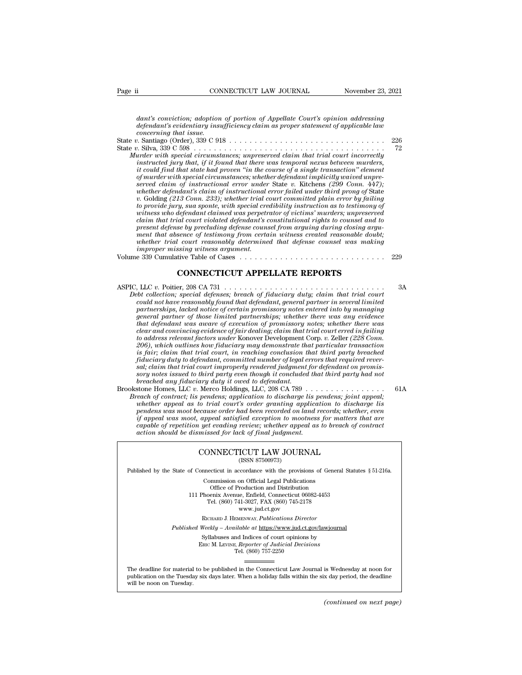Page ii **CONNECTICUT LAW JOURNAL** November 23, 2021<br> *dant's conviction; adoption of portion of Appellate Court's opinion addressing*<br> *defendant's evidentiary insufficiency claim as proper statement of applicable law*<br> *c defendant's conviction; adoption of portion of Appellate Court's opinion addressing*<br>*defendant's evidentiary insufficiency claim as proper statement of applicable law*<br>*concerning that issue.*<br>*concerning that issue.*<br>*P concerning that issue.* Page ii <u>CONNECTICUT LAW JOURNAL November 23, 2021</u><br>
dant's conviction; adoption of portion of Appellate Court's opinion addressing<br>
defendant's evidentiary insufficiency claim as proper statement of applicable law<br>
concer dant's conviction; adoption of portion of Appellate Court's opinion addressing<br>defendant's evidentiary insufficiency claim as proper statement of applicable law<br>concerning that issue.<br>State v. Silva, 339 C 598 . . . . . . dant's conviction; adoption of portion of Appellate Court's opinion addressing<br>defendant's evidentiary insufficiency claim as proper statement of applicable law<br>concerning that issue.<br> $v$ . Santiago (Order), 339 C 918<br> $v$ . *instruction; adoption of portion of Appellate Court's opinion addressing*<br>*idefendant's evidentiary insufficiency claim as proper statement of applicable law*<br>*concerning that issue.*<br>*i*. Santiago (Order), 339 C 918 . . *it councing to conviction, adoption of portion of Appeadie Courts opinion diaressing*<br> *ionecring that issue.*<br> *i*. Santiago (Order), 339 C 918<br> *i*. Silva, 339 C 598<br> *i*. Silva, 339 C 598<br> *i*. Silva, 339 C 598<br> *i*. *of murder with special circumstances; where we concerning that issue.*<br> *o. Santiago (Order), 339 C 918*<br> *o. Santiago (Order), 339 C 918*<br> *o. Silva, 339 C 598*<br> *o. Silva, 339 C 598*<br> *o. with special circumstances; unp served claim of instructional error under* State *v.* Kitchens *(299 Conn. 447); whether defendant* is an instruction as the more defined under with special circumstances; unpreserved claim that trial court incorrectly instructed jury that, if it found that there was temporal nexus between murders, it *v.* Silva, 339 C 598<br> *v. waler* with special circumstances; unpreserved claim that trial court incorrectly<br>
instructed jury that, if it found that there was temporal nexus between murders,<br>
it could find that state had p *to the special credimistances; unpreserved claim that trial court incorrectly*<br> *thicould find that state had proven* "in the course of a single transaction" element<br> *to could find that state had proven* "in the course o

*which that these halo are in the there was temporal nexus between murders, it could find that state had proven "in the course of a single transaction" element of marder with special circumstances; whether defendant is cl claim to that state had proven "in the course of a single transaction" element*<br>of murder with special circumstances; whether defendant implicitly waived unpre-<br>served claim of instructional error under State v. Kitchens *presented claim of instructional error under State w. Kitchens (299 Conn. 447);*<br>*preved claim of instructional error under State w. Kitchens (299 Conn. 447);*<br>*whether defendant's claim of instructional error failed unde mented claim of instructional error under State v. Kitchens (299 Conn. 447);*<br> *whether defendant's claim of instructional error failed under third prong of State*<br> *v. Golding (213 Conn. 233)*; whether trial court commit *whether defendant's clarm of instructional error failed under third prong of State*  $v$ . Golding (213 Conn. 233); whether trial court committed plain error by failing  $v$  to provide jury, sua sponte, with special credibil *i* Golding (213 Conn. 233); whether trial corrowide jury, sua sponte, with special creation with the differed and celendant claim that trial court violated defendant's operator claim that trial court violated defendant's to provide jury, sud sponte, with special creativity instruction as to testimony of<br>witness who defendant clained was perpetrator of victims' murders; unpreserved<br>claim that trial court violated defendant's constitutional *defendant claimed was perpetrator of victims' murders; unpreserved*<br>*ial court violated defendant's constitutional rights to counsel and to*<br>*se by precluding defense counsel from arguing during closing argu-*<br>*sence of t* 

*ASPIC, LLC v. Poitier, 208 CA 731*<br> *Lectronics of essention of the counter* and *defense counsel was making*<br> *ASPIC, LLC v. Poitier, 208 CA 731*<br> *CONNECTICUT APPELLATE REPORTS*<br> *ASPIC, LLC v. Poitier, 208 CA 731*<br> *De improper missing witness argument.*<br>
IDED CONNECTICUT APPELLATE REPORTS<br>
Debt collection; special defenses; breach of fiduciary duty; claim that trial court<br>
could not have reasonably found that defendant, general partner *commissing attribus argument.*<br> *commistion cases*<br> *connection; special defenses; breach of fiduciary duty; claim that trial court*<br> *could not have reasonably found that defendant, general partner in several limited*<br> *partnerships, lacked notice of certain promissory notes entered into the terms of certain promissory notes entered into by managing***<br>the collection; special defenses; breach of fiduciary duty; claim that trial court<br>coul general partner of those limited partnerships;** and controllection; special defenses; breach of fiduciary duty; claim that trial court could not have reasonably found that defendant, general partner in several limited par **CONNECTICUT APPELLATE REPORTS**<br>*the collection*; special defenses; breach of fiduciary duty; claim that trial court<br>could not have reasonably found that defendant, general partner in several limited<br>partnerships, lacked *clear and convincing and defenses; breach of fiduciary duty; claim that trial court could not have reasonably found that defendant, general partner in several limited partnerships, lacked notice of certain promissory note the collection; special defenses; breach of fiduciary duty; claim that trial court could not have reasonably found that defendant, general partner in several limited could not have reasonably found that defendant, general 206), which outlearas the defenses; breach of fuductary duty; clarm that trad court* could not have reasonably found that defendant, general partners himselver and partnerships, lacked notice of certain promissory notes e *could not have reasonably found that defendant, general partner in several limited*<br>partnerships, lacked notice of certain promissory notes entered into by managing<br>general partner of those limited partnerships; whether t partnerships, lacked notice of certain promissory notes entered into by managing<br>general partner of those limited partnerships; whether there was any evidence<br>that defendant was aware of execution of promissory notes; whet *general partner of those limited partnerships; whether there was any evidence<br>that defendant was aware of execution of promissory notes; whether there was<br>clear and convincing evidence of fair dealing; claim that trial co clear and convincing evidence of fair dealing; claim that trial court erred in failing*<br>to address relevant factors under Konover Development Corp. v. Zeller (228 Conn.<br>206), which outlines how fiduciary may demonstrate t *fiduciary duty to defendant, committed number of legal errors that required reversal; claim that trial court improperly rendered judgment for defendant on promissory notes issued to third party even though it concluded th* by during the state of the control of the control of the control of the control of the parameter and demonstrate that particular transaction is fair, claim that trial court, in reaching conclusion that third party breache *Brach, which outlines how judicity may demonstrate that third particular transaction*<br>*is fair; claim that trial court, in reaching conclusion that third party breached*<br>*fiduciary duty to defendant, committed number of l whether appeal as to trial court, in reaching concussion that third party oreached*<br> *fiduciary* duty to defendant, committed number of legal errors that required rever-<br>
sal; claim that trial court improperly rendered ju

*pauciary auty to asgendant, committed number of legal errors that required reversal; claim that trial court improperly rendered judgment for defendant on promission; under any fiduciary duty it owed to defendant.*<br>
stone *is also the issued to third party even though it concluded that third party had not*<br>*isory notes issued to third party even though it concluded that third party had not*<br>*breached any fiduciary duty it owed to defendant. compared any fiduciary duty it owed to defendant.* Concluded that third party had not breached any fiduciary duty it owed to defendant.<br> **capable of contract, LLC**  $v$ . Merco Holdings, LLC, 208 CA 789  $\ldots$ ,  $\ldots$ ,  $\ldots$ *action showled any junctury duty it owed to defendant.*<br> *action shomes, LLC v. Merco Holdings, LLC, 208 GA 789* . . .<br> *each of contract, its pendens; application to discharge lis p*<br> *whether appeal as to trial court's* CONNECTICUT LAW JOURNAL If appeal was moot, appeal satisfied exception to mootness for matters that are capable of repetition yet evading review; whether appeal as to breach of contract action should be dismissed for lack of final judgment.<br>CONN Explore of repetition yet evaluating review, whether appear as to breach of contract<br>action should be dismissed for lack of final judgment.<br>CONNECTICUT LAW JOURNAL<br>(ISSN 87500973)<br>Published by the State of Connecticut in a

CONNECTICUT LAW JOURNAL<br>
(ISSN 87500973)<br>
inecticut in accordance with the provisions of Gener<br>
Commission on Official Legal Publications<br>
Office of Production and Distribution<br>
Mannix Avanue Enfield Commission (6082.4453) **NNECTICUT LAW JOURNAL**<br>
(ISSN 87500973)<br>
cticut in accordance with the provisions of Gener<br>
mmission on Official Legal Publications<br>
Office of Production and Distribution<br>
centra Avenue, Enfield, Connecticut 06082-4453<br>
b CONNECTICUT LAW JOURNAL<br>
(ISSN 87500973)<br>
of Connecticut in accordance with the provisions of General Statu<br>
Commission on Official Legal Publications<br>
Office of Production and Distribution<br>
111 Phoenix Avenue, Enfield, Co (ISSN 87500973)<br>
ecticut in accordance with the provisions of Gener<br>
ommission on Official Legal Publications<br>
Office of Production and Distribution<br>
oenix Avenue, Enfield, Connecticut 06082-4453<br>
Tel. (860) 741-3027, FAX Commission on Official Legal Publications<br>
Office of Production and Distribution<br>
111 Phoenix Avenue, Enfield, Connecticut 06082-4453<br>
Tel. (860) 741-3027, FAX (860) 745-2178<br>
WWW.jud.ct.gov<br>
RICHARD J. HEMENWAY. Publicati Rommission on Official Legal Publications<br>
Office of Production and Distribution<br>
Phoenix Avenue, Enfield, Connecticut 06082-4453<br>
Tel. (860) 741-3027, FAX (860) 745-2178<br>
www.jud.ct.gov<br>
RICHARD J. HEMENWAY, Publications Office of Production and Distribution<br>
111 Phoenix Avenue, Enfield, Connecticut 06082-4453<br>
Tel. (860) 741-3027, FAX (860) 745-2178<br>
www.jud.ct.gov<br>
RICHARD J. HEMENWAY, Publications Director<br>
Published Weekly – Available Phoenix Avenue, Enfield, Connecticut 06082-4453<br>
Tel. (860) 741-3027, FAX (860) 745-2178<br>
www.jud.ct.gov<br>
RICHARD J. HEMENWAY, *Publications Director*<br>
Weekly – Available at https://www.jud.ct.gov/lawjourns<br>
Syllabuses and

Syllabuses and Indices of court opinions by<br>ERIC M. LEVINE, *Reporter of Judicial Decisions*<br>Tel.  $(860)$  757-2250

Published Weekly – Available at https://www.jud.ct.gov/lawjournal<br>Syllabuses and Indices of court opinions by<br>ERIC M. LEVINE, Reporter of Judicial Decisions<br>The deadline for material to be published in the Connecticut Law  $\begin{tabular}{l} \bf Syllabuses and Indices of court opinions by \\ \bf ERIC M. LEVINE, *Reporter of Judicial Decisions* \\ \hline \end{tabular}$  <br> The deadline for material to be published in the Connecticut Law Journal is Wednesday at noon for publication on the Tuesday six days later. When a holiday falls w ERI<br>The deadline for material to b<br>publication on the Tuesday six<br>will be noon on Tuesday. *(continued on next page)*